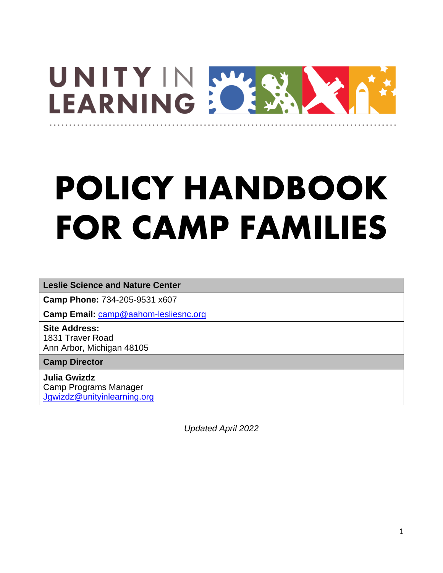

# **POLICY HANDBOOK FOR CAMP FAMILIES**

**Leslie Science and Nature Center**

**Camp Phone:** 734-205-9531 x607

**Camp Email:** [camp@aahom-lesliesnc.org](mailto:camp@aahom-lesliesnc.org)

**Site Address:** 1831 Traver Road Ann Arbor, Michigan 48105

**Camp Director**

**Julia Gwizdz** Camp Programs Manager [Jgwizdz@unityinlearning.org](mailto:Jgwizdz@unityinlearning.org)

*Updated April 2022*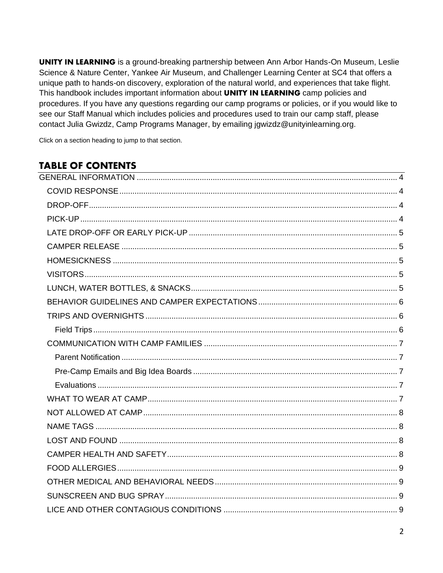**UNITY IN LEARNING** is a ground-breaking partnership between Ann Arbor Hands-On Museum, Leslie Science & Nature Center, Yankee Air Museum, and Challenger Learning Center at SC4 that offers a unique path to hands-on discovery, exploration of the natural world, and experiences that take flight. This handbook includes important information about UNITY IN LEARNING camp policies and procedures. If you have any questions regarding our camp programs or policies, or if you would like to see our Staff Manual which includes policies and procedures used to train our camp staff, please contact Julia Gwizdz, Camp Programs Manager, by emailing jgwizdz@unityinlearning.org.

Click on a section heading to jump to that section.

## **TABLE OF CONTENTS**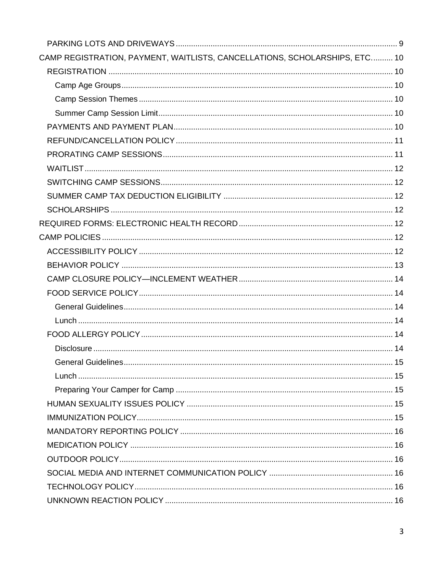| CAMP REGISTRATION, PAYMENT, WAITLISTS, CANCELLATIONS, SCHOLARSHIPS, ETC 10 |  |
|----------------------------------------------------------------------------|--|
|                                                                            |  |
|                                                                            |  |
|                                                                            |  |
|                                                                            |  |
|                                                                            |  |
|                                                                            |  |
|                                                                            |  |
|                                                                            |  |
|                                                                            |  |
|                                                                            |  |
|                                                                            |  |
|                                                                            |  |
|                                                                            |  |
|                                                                            |  |
|                                                                            |  |
|                                                                            |  |
|                                                                            |  |
|                                                                            |  |
|                                                                            |  |
|                                                                            |  |
|                                                                            |  |
|                                                                            |  |
|                                                                            |  |
|                                                                            |  |
|                                                                            |  |
|                                                                            |  |
|                                                                            |  |
|                                                                            |  |
|                                                                            |  |
|                                                                            |  |
|                                                                            |  |
|                                                                            |  |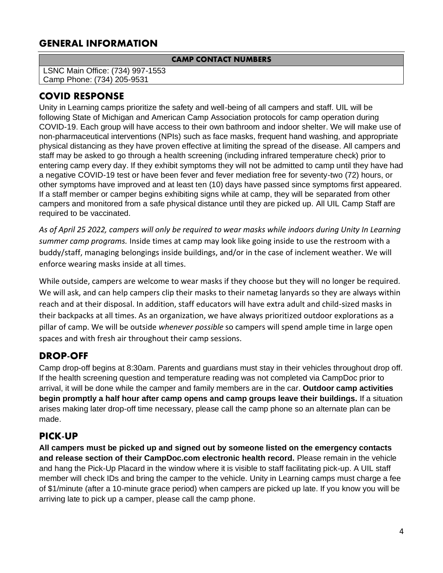## <span id="page-3-0"></span>**GENERAL INFORMATION**

#### **CAMP CONTACT NUMBERS**

LSNC Main Office: (734) 997-1553 Camp Phone: (734) 205-9531

## <span id="page-3-1"></span>**COVID RESPONSE**

Unity in Learning camps prioritize the safety and well-being of all campers and staff. UIL will be following State of Michigan and American Camp Association protocols for camp operation during COVID-19. Each group will have access to their own bathroom and indoor shelter. We will make use of non-pharmaceutical interventions (NPIs) such as face masks, frequent hand washing, and appropriate physical distancing as they have proven effective at limiting the spread of the disease. All campers and staff may be asked to go through a health screening (including infrared temperature check) prior to entering camp every day. If they exhibit symptoms they will not be admitted to camp until they have had a negative COVID-19 test or have been fever and fever mediation free for seventy-two (72) hours, or other symptoms have improved and at least ten (10) days have passed since symptoms first appeared. If a staff member or camper begins exhibiting signs while at camp, they will be separated from other campers and monitored from a safe physical distance until they are picked up. All UIL Camp Staff are required to be vaccinated.

*As of April 25 2022, campers will only be required to wear masks while indoors during Unity In Learning summer camp programs.* Inside times at camp may look like going inside to use the restroom with a buddy/staff, managing belongings inside buildings, and/or in the case of inclement weather. We will enforce wearing masks inside at all times.

While outside, campers are welcome to wear masks if they choose but they will no longer be required. We will ask, and can help campers clip their masks to their nametag lanyards so they are always within reach and at their disposal. In addition, staff educators will have extra adult and child-sized masks in their backpacks at all times. As an organization, we have always prioritized outdoor explorations as a pillar of camp. We will be outside *whenever possible* so campers will spend ample time in large open spaces and with fresh air throughout their camp sessions.

## <span id="page-3-2"></span>**DROP-OFF**

Camp drop-off begins at 8:30am. Parents and guardians must stay in their vehicles throughout drop off. If the health screening question and temperature reading was not completed via CampDoc prior to arrival, it will be done while the camper and family members are in the car. **Outdoor camp activities begin promptly a half hour after camp opens and camp groups leave their buildings.** If a situation arises making later drop-off time necessary, please call the camp phone so an alternate plan can be made.

## <span id="page-3-3"></span>**PICK-UP**

**All campers must be picked up and signed out by someone listed on the emergency contacts and release section of their CampDoc.com electronic health record.** Please remain in the vehicle and hang the Pick-Up Placard in the window where it is visible to staff facilitating pick-up. A UIL staff member will check IDs and bring the camper to the vehicle. Unity in Learning camps must charge a fee of \$1/minute (after a 10-minute grace period) when campers are picked up late. If you know you will be arriving late to pick up a camper, please call the camp phone.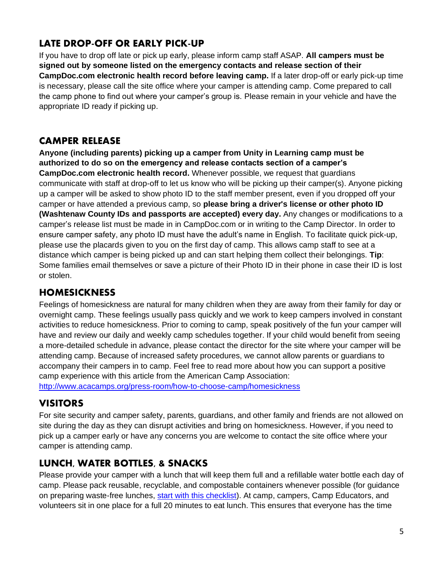# <span id="page-4-0"></span>**LATE DROP-OFF OR EARLY PICK-UP**

If you have to drop off late or pick up early, please inform camp staff ASAP. **All campers must be signed out by someone listed on the emergency contacts and release section of their CampDoc.com electronic health record before leaving camp.** If a later drop-off or early pick-up time is necessary, please call the site office where your camper is attending camp. Come prepared to call the camp phone to find out where your camper's group is. Please remain in your vehicle and have the appropriate ID ready if picking up.

## <span id="page-4-1"></span>**CAMPER RELEASE**

**Anyone (including parents) picking up a camper from Unity in Learning camp must be authorized to do so on the emergency and release contacts section of a camper's CampDoc.com electronic health record.** Whenever possible, we request that guardians communicate with staff at drop-off to let us know who will be picking up their camper(s). Anyone picking up a camper will be asked to show photo ID to the staff member present, even if you dropped off your camper or have attended a previous camp, so **please bring a driver's license or other photo ID (Washtenaw County IDs and passports are accepted) every day.** Any changes or modifications to a camper's release list must be made in in CampDoc.com or in writing to the Camp Director. In order to ensure camper safety, any photo ID must have the adult's name in English. To facilitate quick pick-up, please use the placards given to you on the first day of camp. This allows camp staff to see at a distance which camper is being picked up and can start helping them collect their belongings. **Tip**: Some families email themselves or save a picture of their Photo ID in their phone in case their ID is lost or stolen.

## <span id="page-4-2"></span>**HOMESICKNESS**

Feelings of homesickness are natural for many children when they are away from their family for day or overnight camp. These feelings usually pass quickly and we work to keep campers involved in constant activities to reduce homesickness. Prior to coming to camp, speak positively of the fun your camper will have and review our daily and weekly camp schedules together. If your child would benefit from seeing a more-detailed schedule in advance, please contact the director for the site where your camper will be attending camp. Because of increased safety procedures, we cannot allow parents or guardians to accompany their campers in to camp. Feel free to read more about how you can support a positive camp experience with this article from the American Camp Association:

<http://www.acacamps.org/press-room/how-to-choose-camp/homesickness>

# <span id="page-4-3"></span>**VISITORS**

For site security and camper safety, parents, guardians, and other family and friends are not allowed on site during the day as they can disrupt activities and bring on homesickness. However, if you need to pick up a camper early or have any concerns you are welcome to contact the site office where your camper is attending camp.

# <span id="page-4-4"></span>**LUNCH, WATER BOTTLES, & SNACKS**

Please provide your camper with a lunch that will keep them full and a refillable water bottle each day of camp. Please pack reusable, recyclable, and compostable containers whenever possible (for guidance on preparing waste-free lunches, [start with this checklist\)](https://www.metroparent.com/daily/food-home/cooking-tips-nutrition/the-waste-free-lunch-checklist-for-parents/). At camp, campers, Camp Educators, and volunteers sit in one place for a full 20 minutes to eat lunch. This ensures that everyone has the time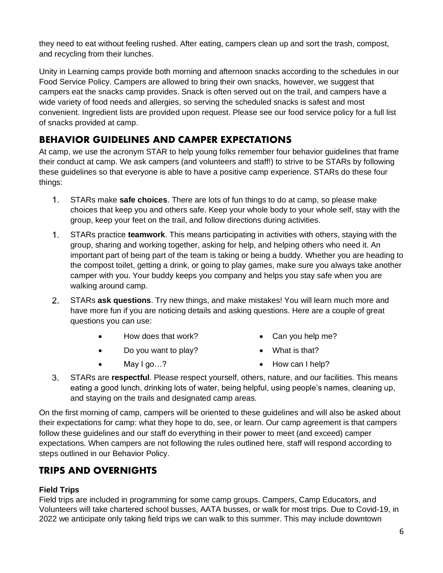they need to eat without feeling rushed. After eating, campers clean up and sort the trash, compost, and recycling from their lunches.

Unity in Learning camps provide both morning and afternoon snacks according to the schedules in our Food Service Policy. Campers are allowed to bring their own snacks, however, we suggest that campers eat the snacks camp provides. Snack is often served out on the trail, and campers have a wide variety of food needs and allergies, so serving the scheduled snacks is safest and most convenient. Ingredient lists are provided upon request. Please see our food service policy for a full list of snacks provided at camp.

# <span id="page-5-0"></span>**BEHAVIOR GUIDELINES AND CAMPER EXPECTATIONS**

At camp, we use the acronym STAR to help young folks remember four behavior guidelines that frame their conduct at camp. We ask campers (and volunteers and staff!) to strive to be STARs by following these guidelines so that everyone is able to have a positive camp experience. STARs do these four things:

- $1.$ STARs make **safe choices**. There are lots of fun things to do at camp, so please make choices that keep you and others safe. Keep your whole body to your whole self, stay with the group, keep your feet on the trail, and follow directions during activities.
- $1.$ STARs practice **teamwork**. This means participating in activities with others, staying with the group, sharing and working together, asking for help, and helping others who need it. An important part of being part of the team is taking or being a buddy. Whether you are heading to the compost toilet, getting a drink, or going to play games, make sure you always take another camper with you. Your buddy keeps you company and helps you stay safe when you are walking around camp.
- $2.$ STARs **ask questions**. Try new things, and make mistakes! You will learn much more and have more fun if you are noticing details and asking questions. Here are a couple of great questions you can use:
	- How does that work?
- Can you help me?
- Do you want to play?
- What is that?

• May I go...?

- How can I help?
- $3.$ STARs are **respectful**. Please respect yourself, others, nature, and our facilities. This means eating a good lunch, drinking lots of water, being helpful, using people's names, cleaning up, and staying on the trails and designated camp areas.

On the first morning of camp, campers will be oriented to these guidelines and will also be asked about their expectations for camp: what they hope to do, see, or learn. Our camp agreement is that campers follow these guidelines and our staff do everything in their power to meet (and exceed) camper expectations. When campers are not following the rules outlined here, staff will respond according to steps outlined in our Behavior Policy.

# <span id="page-5-1"></span>**TRIPS AND OVERNIGHTS**

#### <span id="page-5-2"></span>**Field Trips**

Field trips are included in programming for some camp groups. Campers, Camp Educators, and Volunteers will take chartered school busses, AATA busses, or walk for most trips. Due to Covid-19, in 2022 we anticipate only taking field trips we can walk to this summer. This may include downtown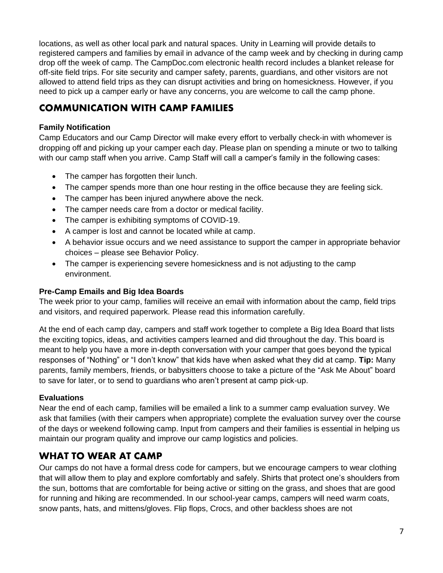locations, as well as other local park and natural spaces. Unity in Learning will provide details to registered campers and families by email in advance of the camp week and by checking in during camp drop off the week of camp. The CampDoc.com electronic health record includes a blanket release for off-site field trips. For site security and camper safety, parents, guardians, and other visitors are not allowed to attend field trips as they can disrupt activities and bring on homesickness. However, if you need to pick up a camper early or have any concerns, you are welcome to call the camp phone.

## <span id="page-6-0"></span>**COMMUNICATION WITH CAMP FAMILIES**

#### <span id="page-6-1"></span>**Family Notification**

Camp Educators and our Camp Director will make every effort to verbally check-in with whomever is dropping off and picking up your camper each day. Please plan on spending a minute or two to talking with our camp staff when you arrive. Camp Staff will call a camper's family in the following cases:

- The camper has forgotten their lunch.
- The camper spends more than one hour resting in the office because they are feeling sick.
- The camper has been injured anywhere above the neck.
- The camper needs care from a doctor or medical facility.
- The camper is exhibiting symptoms of COVID-19.
- A camper is lost and cannot be located while at camp.
- A behavior issue occurs and we need assistance to support the camper in appropriate behavior choices – please see Behavior Policy.
- The camper is experiencing severe homesickness and is not adjusting to the camp environment.

#### <span id="page-6-2"></span>**Pre-Camp Emails and Big Idea Boards**

The week prior to your camp, families will receive an email with information about the camp, field trips and visitors, and required paperwork. Please read this information carefully.

At the end of each camp day, campers and staff work together to complete a Big Idea Board that lists the exciting topics, ideas, and activities campers learned and did throughout the day. This board is meant to help you have a more in-depth conversation with your camper that goes beyond the typical responses of "Nothing" or "I don't know" that kids have when asked what they did at camp. **Tip:** Many parents, family members, friends, or babysitters choose to take a picture of the "Ask Me About" board to save for later, or to send to guardians who aren't present at camp pick-up.

#### <span id="page-6-3"></span>**Evaluations**

Near the end of each camp, families will be emailed a link to a summer camp evaluation survey. We ask that families (with their campers when appropriate) complete the evaluation survey over the course of the days or weekend following camp. Input from campers and their families is essential in helping us maintain our program quality and improve our camp logistics and policies.

## <span id="page-6-4"></span>**WHAT TO WEAR AT CAMP**

Our camps do not have a formal dress code for campers, but we encourage campers to wear clothing that will allow them to play and explore comfortably and safely. Shirts that protect one's shoulders from the sun, bottoms that are comfortable for being active or sitting on the grass, and shoes that are good for running and hiking are recommended. In our school-year camps, campers will need warm coats, snow pants, hats, and mittens/gloves. Flip flops, Crocs, and other backless shoes are not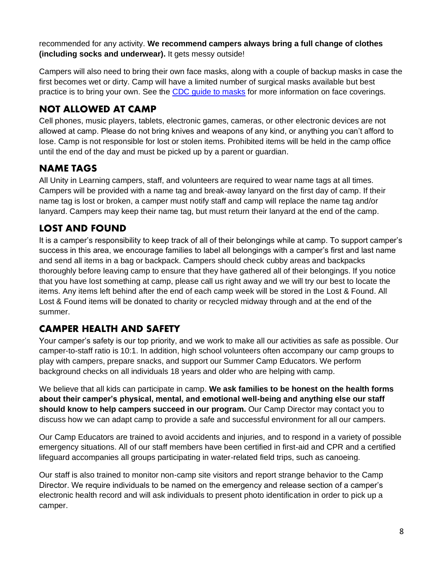recommended for any activity. **We recommend campers always bring a full change of clothes (including socks and underwear).** It gets messy outside!

Campers will also need to bring their own face masks, along with a couple of backup masks in case the first becomes wet or dirty. Camp will have a limited number of surgical masks available but best practice is to bring your own. See the [CDC guide to masks](https://www.cdc.gov/coronavirus/2019-ncov/prevent-getting-sick/about-face-coverings.html) for more information on face coverings.

# <span id="page-7-0"></span>**NOT ALLOWED AT CAMP**

Cell phones, music players, tablets, electronic games, cameras, or other electronic devices are not allowed at camp. Please do not bring knives and weapons of any kind, or anything you can't afford to lose. Camp is not responsible for lost or stolen items. Prohibited items will be held in the camp office until the end of the day and must be picked up by a parent or guardian.

## <span id="page-7-1"></span>**NAME TAGS**

All Unity in Learning campers, staff, and volunteers are required to wear name tags at all times. Campers will be provided with a name tag and break-away lanyard on the first day of camp. If their name tag is lost or broken, a camper must notify staff and camp will replace the name tag and/or lanyard. Campers may keep their name tag, but must return their lanyard at the end of the camp.

## <span id="page-7-2"></span>**LOST AND FOUND**

It is a camper's responsibility to keep track of all of their belongings while at camp. To support camper's success in this area, we encourage families to label all belongings with a camper's first and last name and send all items in a bag or backpack. Campers should check cubby areas and backpacks thoroughly before leaving camp to ensure that they have gathered all of their belongings. If you notice that you have lost something at camp, please call us right away and we will try our best to locate the items. Any items left behind after the end of each camp week will be stored in the Lost & Found. All Lost & Found items will be donated to charity or recycled midway through and at the end of the summer.

## <span id="page-7-3"></span>**CAMPER HEALTH AND SAFETY**

Your camper's safety is our top priority, and we work to make all our activities as safe as possible. Our camper-to-staff ratio is 10:1. In addition, high school volunteers often accompany our camp groups to play with campers, prepare snacks, and support our Summer Camp Educators. We perform background checks on all individuals 18 years and older who are helping with camp.

We believe that all kids can participate in camp. **We ask families to be honest on the health forms about their camper's physical, mental, and emotional well-being and anything else our staff should know to help campers succeed in our program.** Our Camp Director may contact you to discuss how we can adapt camp to provide a safe and successful environment for all our campers.

Our Camp Educators are trained to avoid accidents and injuries, and to respond in a variety of possible emergency situations. All of our staff members have been certified in first-aid and CPR and a certified lifeguard accompanies all groups participating in water-related field trips, such as canoeing.

Our staff is also trained to monitor non-camp site visitors and report strange behavior to the Camp Director. We require individuals to be named on the emergency and release section of a camper's electronic health record and will ask individuals to present photo identification in order to pick up a camper.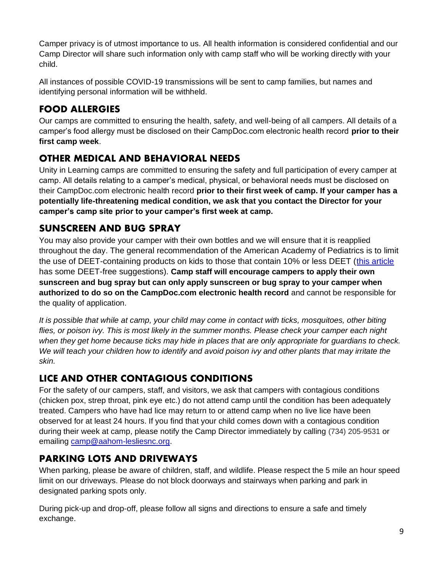Camper privacy is of utmost importance to us. All health information is considered confidential and our Camp Director will share such information only with camp staff who will be working directly with your child.

All instances of possible COVID-19 transmissions will be sent to camp families, but names and identifying personal information will be withheld.

# <span id="page-8-0"></span>**FOOD ALLERGIES**

Our camps are committed to ensuring the health, safety, and well-being of all campers. All details of a camper's food allergy must be disclosed on their CampDoc.com electronic health record **prior to their first camp week**.

# <span id="page-8-1"></span>**OTHER MEDICAL AND BEHAVIORAL NEEDS**

Unity in Learning camps are committed to ensuring the safety and full participation of every camper at camp. All details relating to a camper's medical, physical, or behavioral needs must be disclosed on their CampDoc.com electronic health record **prior to their first week of camp. If your camper has a potentially life-threatening medical condition, we ask that you contact the Director for your camper's camp site prior to your camper's first week at camp.** 

## <span id="page-8-2"></span>**SUNSCREEN AND BUG SPRAY**

You may also provide your camper with their own bottles and we will ensure that it is reapplied throughout the day. The general recommendation of the American Academy of Pediatrics is to limit the use of DEET-containing products on kids to those that contain 10% or less DEET [\(this article](http://www.consumersearch.com/insect-repellent/best-insect-repellent-for-kids) has some DEET-free suggestions). **Camp staff will encourage campers to apply their own sunscreen and bug spray but can only apply sunscreen or bug spray to your camper when authorized to do so on the CampDoc.com electronic health record** and cannot be responsible for the quality of application.

*It is possible that while at camp, your child may come in contact with ticks, mosquitoes, other biting flies, or poison ivy. This is most likely in the summer months. Please check your camper each night when they get home because ticks may hide in places that are only appropriate for guardians to check. We will teach your children how to identify and avoid poison ivy and other plants that may irritate the skin.*

# <span id="page-8-3"></span>**LICE AND OTHER CONTAGIOUS CONDITIONS**

For the safety of our campers, staff, and visitors, we ask that campers with contagious conditions (chicken pox, strep throat, pink eye etc.) do not attend camp until the condition has been adequately treated. Campers who have had lice may return to or attend camp when no live lice have been observed for at least 24 hours. If you find that your child comes down with a contagious condition during their week at camp, please notify the Camp Director immediately by calling (734) 205-9531 or emailing [camp@aahom-lesliesnc.org.](mailto:camp@aahom-lesliesnc.org)

# <span id="page-8-4"></span>**PARKING LOTS AND DRIVEWAYS**

When parking, please be aware of children, staff, and wildlife. Please respect the 5 mile an hour speed limit on our driveways. Please do not block doorways and stairways when parking and park in designated parking spots only.

During pick-up and drop-off, please follow all signs and directions to ensure a safe and timely exchange.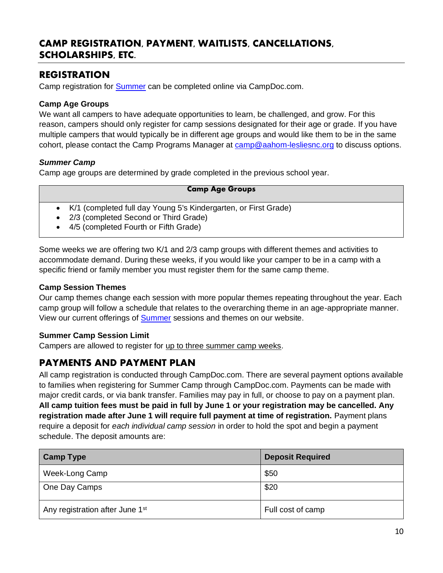### <span id="page-9-0"></span>**CAMP REGISTRATION, PAYMENT, WAITLISTS, CANCELLATIONS, SCHOLARSHIPS, ETC.**

## <span id="page-9-1"></span>**REGISTRATION**

Camp registration for **Summer** can be completed online via CampDoc.com.

#### <span id="page-9-2"></span>**Camp Age Groups**

We want all campers to have adequate opportunities to learn, be challenged, and grow. For this reason, campers should only register for camp sessions designated for their age or grade. If you have multiple campers that would typically be in different age groups and would like them to be in the same cohort, please contact the Camp Programs Manager at [camp@aahom-lesliesnc.org](mailto:camp@aahom-lesliesnc.org) to discuss options.

#### *Summer Camp*

Camp age groups are determined by grade completed in the previous school year.

#### **Camp Age Groups**

- K/1 (completed full day Young 5's Kindergarten, or First Grade)
- 2/3 (completed Second or Third Grade)
- 4/5 (completed Fourth or Fifth Grade)

Some weeks we are offering two K/1 and 2/3 camp groups with different themes and activities to accommodate demand. During these weeks, if you would like your camper to be in a camp with a specific friend or family member you must register them for the same camp theme.

#### <span id="page-9-3"></span>**Camp Session Themes**

Our camp themes change each session with more popular themes repeating throughout the year. Each camp group will follow a schedule that relates to the overarching theme in an age-appropriate manner. View our current offerings of [Summer](http://www.lesliesnc.org/camps/summer-camps) sessions and themes on our website.

#### <span id="page-9-4"></span>**Summer Camp Session Limit**

Campers are allowed to register for up to three summer camp weeks.

## <span id="page-9-5"></span>**PAYMENTS AND PAYMENT PLAN**

All camp registration is conducted through CampDoc.com. There are several payment options available to families when registering for Summer Camp through CampDoc.com. Payments can be made with major credit cards, or via bank transfer. Families may pay in full, or choose to pay on a payment plan. **All camp tuition fees must be paid in full by June 1 or your registration may be cancelled. Any registration made after June 1 will require full payment at time of registration.** Payment plans require a deposit for *each individual camp session* in order to hold the spot and begin a payment schedule. The deposit amounts are:

| <b>Camp Type</b>                            | <b>Deposit Required</b> |
|---------------------------------------------|-------------------------|
| Week-Long Camp                              | \$50                    |
| One Day Camps                               | \$20                    |
| Any registration after June 1 <sup>st</sup> | Full cost of camp       |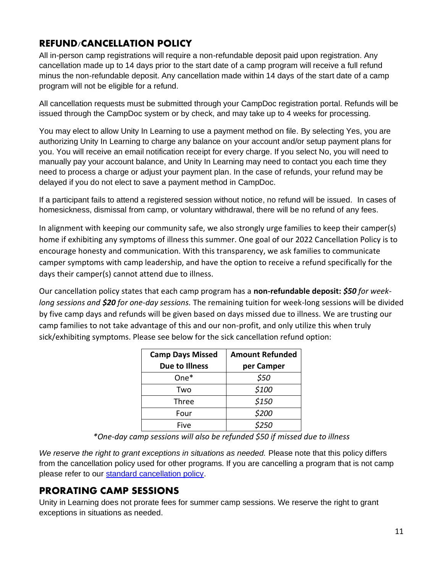# <span id="page-10-0"></span>**REFUND/CANCELLATION POLICY**

All in-person camp registrations will require a non-refundable deposit paid upon registration. Any cancellation made up to 14 days prior to the start date of a camp program will receive a full refund minus the non-refundable deposit. Any cancellation made within 14 days of the start date of a camp program will not be eligible for a refund.

All cancellation requests must be submitted through your CampDoc registration portal. Refunds will be issued through the CampDoc system or by check, and may take up to 4 weeks for processing.

You may elect to allow Unity In Learning to use a payment method on file. By selecting Yes, you are authorizing Unity In Learning to charge any balance on your account and/or setup payment plans for you. You will receive an email notification receipt for every charge. If you select No, you will need to manually pay your account balance, and Unity In Learning may need to contact you each time they need to process a charge or adjust your payment plan. In the case of refunds, your refund may be delayed if you do not elect to save a payment method in CampDoc.

If a participant fails to attend a registered session without notice, no refund will be issued. In cases of homesickness, dismissal from camp, or voluntary withdrawal, there will be no refund of any fees.

In alignment with keeping our community safe, we also strongly urge families to keep their camper(s) home if exhibiting any symptoms of illness this summer. One goal of our 2022 Cancellation Policy is to encourage honesty and communication. With this transparency, we ask families to communicate camper symptoms with camp leadership, and have the option to receive a refund specifically for the days their camper(s) cannot attend due to illness.

Our cancellation policy states that each camp program has a **non-refundable deposit:** *\$50 for weeklong sessions and \$20 for one-day sessions.* The remaining tuition for week-long sessions will be divided by five camp days and refunds will be given based on days missed due to illness. We are trusting our camp families to not take advantage of this and our non-profit, and only utilize this when truly sick/exhibiting symptoms. Please see below for the sick cancellation refund option:

| <b>Camp Days Missed</b> | <b>Amount Refunded</b> |
|-------------------------|------------------------|
| Due to Illness          | per Camper             |
| $One*$                  | \$50                   |
| Two                     | \$100                  |
| Three                   | \$150                  |
| Four                    | \$200                  |
| Five                    |                        |

*\*One-day camp sessions will also be refunded \$50 if missed due to illness*

*We reserve the right to grant exceptions in situations as needed.* Please note that this policy differs from the cancellation policy used for other programs. If you are cancelling a program that is not camp please refer to our [standard cancellation policy.](https://www.lesliesnc.org/cancellation-policy)

## <span id="page-10-1"></span>**PRORATING CAMP SESSIONS**

Unity in Learning does not prorate fees for summer camp sessions. We reserve the right to grant exceptions in situations as needed.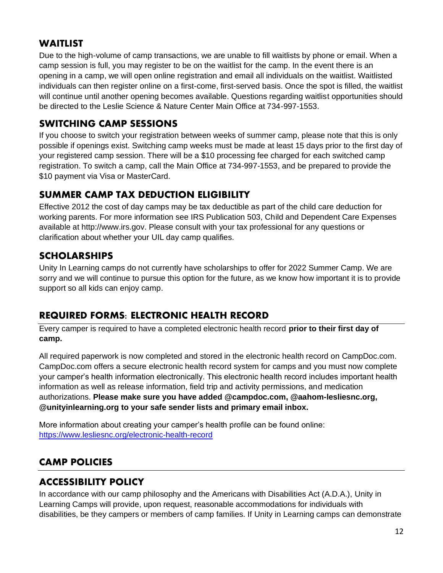## <span id="page-11-0"></span>**WAITLIST**

Due to the high-volume of camp transactions, we are unable to fill waitlists by phone or email. When a camp session is full, you may register to be on the waitlist for the camp. In the event there is an opening in a camp, we will open online registration and email all individuals on the waitlist. Waitlisted individuals can then register online on a first-come, first-served basis. Once the spot is filled, the waitlist will continue until another opening becomes available. Questions regarding waitlist opportunities should be directed to the Leslie Science & Nature Center Main Office at 734-997-1553.

# <span id="page-11-1"></span>**SWITCHING CAMP SESSIONS**

If you choose to switch your registration between weeks of summer camp, please note that this is only possible if openings exist. Switching camp weeks must be made at least 15 days prior to the first day of your registered camp session. There will be a \$10 processing fee charged for each switched camp registration. To switch a camp, call the Main Office at 734-997-1553, and be prepared to provide the \$10 payment via Visa or MasterCard.

# <span id="page-11-2"></span>**SUMMER CAMP TAX DEDUCTION ELIGIBILITY**

Effective 2012 the cost of day camps may be tax deductible as part of the child care deduction for working parents. For more information see IRS Publication 503, Child and Dependent Care Expenses available at http:/[/www.irs.gov.](http://www.irs.gov/) Please consult with your tax professional for any questions or clarification about whether your UIL day camp qualifies.

# <span id="page-11-3"></span>**SCHOLARSHIPS**

Unity In Learning camps do not currently have scholarships to offer for 2022 Summer Camp. We are sorry and we will continue to pursue this option for the future, as we know how important it is to provide support so all kids can enjoy camp.

# <span id="page-11-4"></span>**REQUIRED FORMS: ELECTRONIC HEALTH RECORD**

Every camper is required to have a completed electronic health record **prior to their first day of camp.**

All required paperwork is now completed and stored in the electronic health record on CampDoc.com. CampDoc.com offers a secure electronic health record system for camps and you must now complete your camper's health information electronically. This electronic health record includes important health information as well as release information, field trip and activity permissions, and medication authorizations. **Please make sure you have added @campdoc.com, @aahom-lesliesnc.org, @unityinlearning.org to your safe sender lists and primary email inbox.**

More information about creating your camper's health profile can be found online: <https://www.lesliesnc.org/electronic-health-record>

# <span id="page-11-5"></span>**CAMP POLICIES**

# <span id="page-11-6"></span>**ACCESSIBILITY POLICY**

In accordance with our camp philosophy and the Americans with Disabilities Act (A.D.A.), Unity in Learning Camps will provide, upon request, reasonable accommodations for individuals with disabilities, be they campers or members of camp families. If Unity in Learning camps can demonstrate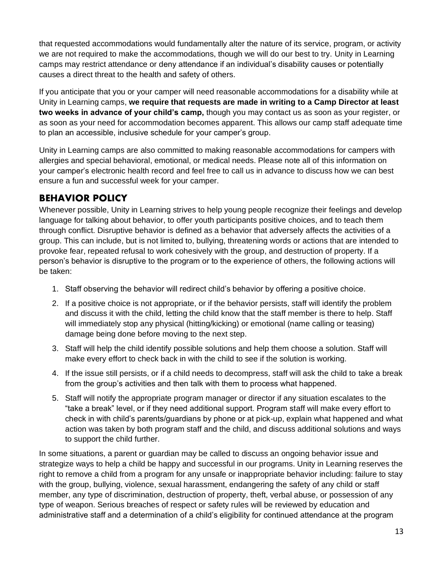that requested accommodations would fundamentally alter the nature of its service, program, or activity we are not required to make the accommodations, though we will do our best to try. Unity in Learning camps may restrict attendance or deny attendance if an individual's disability causes or potentially causes a direct threat to the health and safety of others.

If you anticipate that you or your camper will need reasonable accommodations for a disability while at Unity in Learning camps, **we require that requests are made in writing to a Camp Director at least two weeks in advance of your child's camp,** though you may contact us as soon as your register, or as soon as your need for accommodation becomes apparent. This allows our camp staff adequate time to plan an accessible, inclusive schedule for your camper's group.

Unity in Learning camps are also committed to making reasonable accommodations for campers with allergies and special behavioral, emotional, or medical needs. Please note all of this information on your camper's electronic health record and feel free to call us in advance to discuss how we can best ensure a fun and successful week for your camper.

## <span id="page-12-0"></span>**BEHAVIOR POLICY**

Whenever possible, Unity in Learning strives to help young people recognize their feelings and develop language for talking about behavior, to offer youth participants positive choices, and to teach them through conflict. Disruptive behavior is defined as a behavior that adversely affects the activities of a group. This can include, but is not limited to, bullying, threatening words or actions that are intended to provoke fear, repeated refusal to work cohesively with the group, and destruction of property. If a person's behavior is disruptive to the program or to the experience of others, the following actions will be taken:

- 1. Staff observing the behavior will redirect child's behavior by offering a positive choice.
- 2. If a positive choice is not appropriate, or if the behavior persists, staff will identify the problem and discuss it with the child, letting the child know that the staff member is there to help. Staff will immediately stop any physical (hitting/kicking) or emotional (name calling or teasing) damage being done before moving to the next step.
- 3. Staff will help the child identify possible solutions and help them choose a solution. Staff will make every effort to check back in with the child to see if the solution is working.
- 4. If the issue still persists, or if a child needs to decompress, staff will ask the child to take a break from the group's activities and then talk with them to process what happened.
- 5. Staff will notify the appropriate program manager or director if any situation escalates to the "take a break" level, or if they need additional support. Program staff will make every effort to check in with child's parents/guardians by phone or at pick-up, explain what happened and what action was taken by both program staff and the child, and discuss additional solutions and ways to support the child further.

In some situations, a parent or guardian may be called to discuss an ongoing behavior issue and strategize ways to help a child be happy and successful in our programs. Unity in Learning reserves the right to remove a child from a program for any unsafe or inappropriate behavior including: failure to stay with the group, bullying, violence, sexual harassment, endangering the safety of any child or staff member, any type of discrimination, destruction of property, theft, verbal abuse, or possession of any type of weapon. Serious breaches of respect or safety rules will be reviewed by education and administrative staff and a determination of a child's eligibility for continued attendance at the program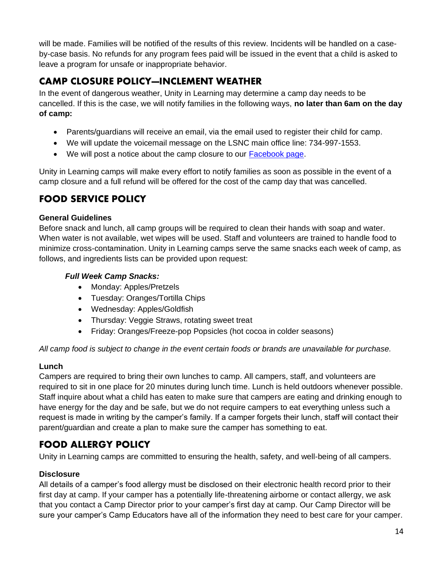will be made. Families will be notified of the results of this review. Incidents will be handled on a caseby-case basis. No refunds for any program fees paid will be issued in the event that a child is asked to leave a program for unsafe or inappropriate behavior.

# <span id="page-13-0"></span>**CAMP CLOSURE POLICY—INCLEMENT WEATHER**

In the event of dangerous weather, Unity in Learning may determine a camp day needs to be cancelled. If this is the case, we will notify families in the following ways, **no later than 6am on the day of camp:**

- Parents/guardians will receive an email, via the email used to register their child for camp.
- We will update the voicemail message on the LSNC main office line: 734-997-1553.
- We will post a notice about the camp closure to our [Facebook page.](http://www.facebook.com/lesliesnc/)

Unity in Learning camps will make every effort to notify families as soon as possible in the event of a camp closure and a full refund will be offered for the cost of the camp day that was cancelled.

# <span id="page-13-1"></span>**FOOD SERVICE POLICY**

#### <span id="page-13-2"></span>**General Guidelines**

Before snack and lunch, all camp groups will be required to clean their hands with soap and water. When water is not available, wet wipes will be used. Staff and volunteers are trained to handle food to minimize cross-contamination. Unity in Learning camps serve the same snacks each week of camp, as follows, and ingredients lists can be provided upon request:

#### *Full Week Camp Snacks:*

- Monday: Apples/Pretzels
- Tuesday: Oranges/Tortilla Chips
- Wednesday: Apples/Goldfish
- Thursday: Veggie Straws, rotating sweet treat
- Friday: Oranges/Freeze-pop Popsicles (hot cocoa in colder seasons)

*All camp food is subject to change in the event certain foods or brands are unavailable for purchase.*

#### <span id="page-13-3"></span>**Lunch**

Campers are required to bring their own lunches to camp. All campers, staff, and volunteers are required to sit in one place for 20 minutes during lunch time. Lunch is held outdoors whenever possible. Staff inquire about what a child has eaten to make sure that campers are eating and drinking enough to have energy for the day and be safe, but we do not require campers to eat everything unless such a request is made in writing by the camper's family. If a camper forgets their lunch, staff will contact their parent/guardian and create a plan to make sure the camper has something to eat.

# <span id="page-13-4"></span>**FOOD ALLERGY POLICY**

Unity in Learning camps are committed to ensuring the health, safety, and well-being of all campers.

#### <span id="page-13-5"></span>**Disclosure**

All details of a camper's food allergy must be disclosed on their electronic health record prior to their first day at camp. If your camper has a potentially life-threatening airborne or contact allergy, we ask that you contact a Camp Director prior to your camper's first day at camp. Our Camp Director will be sure your camper's Camp Educators have all of the information they need to best care for your camper.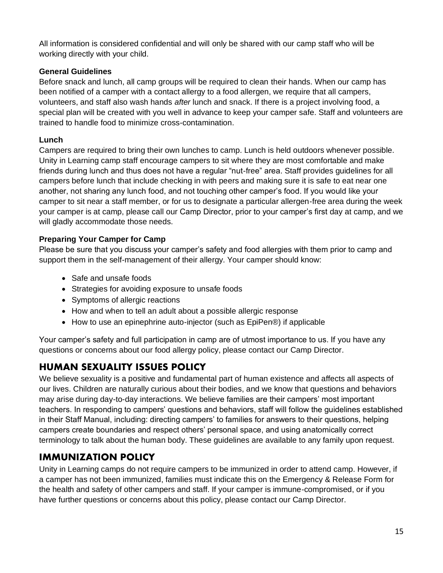All information is considered confidential and will only be shared with our camp staff who will be working directly with your child.

#### <span id="page-14-0"></span>**General Guidelines**

Before snack and lunch, all camp groups will be required to clean their hands. When our camp has been notified of a camper with a contact allergy to a food allergen, we require that all campers, volunteers, and staff also wash hands *after* lunch and snack. If there is a project involving food, a special plan will be created with you well in advance to keep your camper safe. Staff and volunteers are trained to handle food to minimize cross-contamination.

#### <span id="page-14-1"></span>**Lunch**

Campers are required to bring their own lunches to camp. Lunch is held outdoors whenever possible. Unity in Learning camp staff encourage campers to sit where they are most comfortable and make friends during lunch and thus does not have a regular "nut-free" area. Staff provides guidelines for all campers before lunch that include checking in with peers and making sure it is safe to eat near one another, not sharing any lunch food, and not touching other camper's food. If you would like your camper to sit near a staff member, or for us to designate a particular allergen-free area during the week your camper is at camp, please call our Camp Director, prior to your camper's first day at camp, and we will gladly accommodate those needs.

#### <span id="page-14-2"></span>**Preparing Your Camper for Camp**

Please be sure that you discuss your camper's safety and food allergies with them prior to camp and support them in the self-management of their allergy. Your camper should know:

- Safe and unsafe foods
- Strategies for avoiding exposure to unsafe foods
- Symptoms of allergic reactions
- How and when to tell an adult about a possible allergic response
- How to use an epinephrine auto-injector (such as EpiPen®) if applicable

Your camper's safety and full participation in camp are of utmost importance to us. If you have any questions or concerns about our food allergy policy, please contact our Camp Director.

# <span id="page-14-3"></span>**HUMAN SEXUALITY ISSUES POLICY**

We believe sexuality is a positive and fundamental part of human existence and affects all aspects of our lives. Children are naturally curious about their bodies, and we know that questions and behaviors may arise during day-to-day interactions. We believe families are their campers' most important teachers. In responding to campers' questions and behaviors, staff will follow the guidelines established in their Staff Manual, including: directing campers' to families for answers to their questions, helping campers create boundaries and respect others' personal space, and using anatomically correct terminology to talk about the human body. These guidelines are available to any family upon request.

# <span id="page-14-4"></span>**IMMUNIZATION POLICY**

Unity in Learning camps do not require campers to be immunized in order to attend camp. However, if a camper has not been immunized, families must indicate this on the Emergency & Release Form for the health and safety of other campers and staff. If your camper is immune-compromised, or if you have further questions or concerns about this policy, please contact our Camp Director.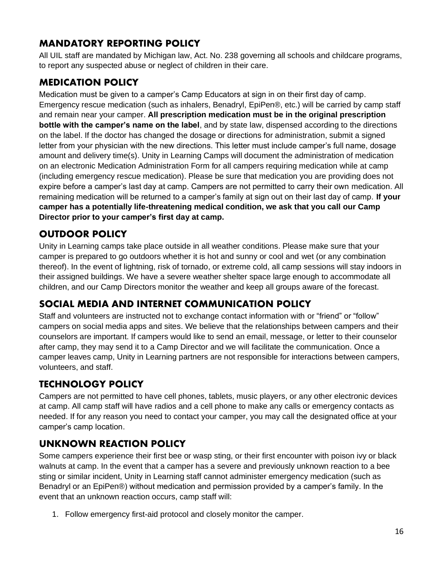# <span id="page-15-0"></span>**MANDATORY REPORTING POLICY**

All UIL staff are mandated by Michigan law, Act. No. 238 governing all schools and childcare programs, to report any suspected abuse or neglect of children in their care.

# <span id="page-15-1"></span>**MEDICATION POLICY**

Medication must be given to a camper's Camp Educators at sign in on their first day of camp. Emergency rescue medication (such as inhalers, Benadryl, EpiPen®, etc.) will be carried by camp staff and remain near your camper. **All prescription medication must be in the original prescription bottle with the camper's name on the label**, and by state law, dispensed according to the directions on the label. If the doctor has changed the dosage or directions for administration, submit a signed letter from your physician with the new directions. This letter must include camper's full name, dosage amount and delivery time(s). Unity in Learning Camps will document the administration of medication on an electronic Medication Administration Form for all campers requiring medication while at camp (including emergency rescue medication). Please be sure that medication you are providing does not expire before a camper's last day at camp. Campers are not permitted to carry their own medication. All remaining medication will be returned to a camper's family at sign out on their last day of camp. **If your camper has a potentially life-threatening medical condition, we ask that you call our Camp Director prior to your camper's first day at camp.**

# <span id="page-15-2"></span>**OUTDOOR POLICY**

Unity in Learning camps take place outside in all weather conditions. Please make sure that your camper is prepared to go outdoors whether it is hot and sunny or cool and wet (or any combination thereof). In the event of lightning, risk of tornado, or extreme cold, all camp sessions will stay indoors in their assigned buildings. We have a severe weather shelter space large enough to accommodate all children, and our Camp Directors monitor the weather and keep all groups aware of the forecast.

# <span id="page-15-3"></span>**SOCIAL MEDIA AND INTERNET COMMUNICATION POLICY**

Staff and volunteers are instructed not to exchange contact information with or "friend" or "follow" campers on social media apps and sites. We believe that the relationships between campers and their counselors are important. If campers would like to send an email, message, or letter to their counselor after camp, they may send it to a Camp Director and we will facilitate the communication. Once a camper leaves camp, Unity in Learning partners are not responsible for interactions between campers, volunteers, and staff.

# <span id="page-15-4"></span>**TECHNOLOGY POLICY**

Campers are not permitted to have cell phones, tablets, music players, or any other electronic devices at camp. All camp staff will have radios and a cell phone to make any calls or emergency contacts as needed. If for any reason you need to contact your camper, you may call the designated office at your camper's camp location.

# <span id="page-15-5"></span>**UNKNOWN REACTION POLICY**

Some campers experience their first bee or wasp sting, or their first encounter with poison ivy or black walnuts at camp. In the event that a camper has a severe and previously unknown reaction to a bee sting or similar incident, Unity in Learning staff cannot administer emergency medication (such as Benadryl or an EpiPen®) without medication and permission provided by a camper's family. In the event that an unknown reaction occurs, camp staff will:

1. Follow emergency first-aid protocol and closely monitor the camper.